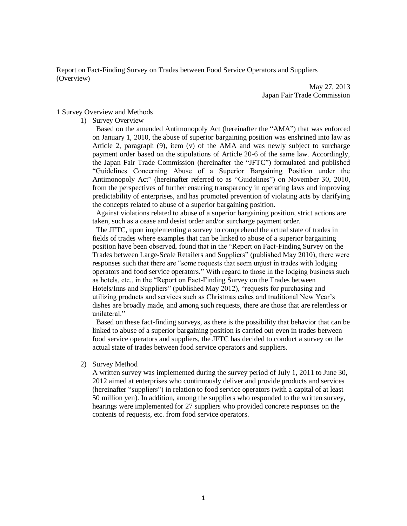Report on Fact-Finding Survey on Trades between Food Service Operators and Suppliers (Overview)

> May 27, 2013 Japan Fair Trade Commission

## 1 Survey Overview and Methods

1) Survey Overview

 Based on the amended Antimonopoly Act (hereinafter the "AMA") that was enforced on January 1, 2010, the abuse of superior bargaining position was enshrined into law as Article 2, paragraph (9), item (v) of the AMA and was newly subject to surcharge payment order based on the stipulations of Article 20-6 of the same law. Accordingly, the Japan Fair Trade Commission (hereinafter the "JFTC") formulated and published "Guidelines Concerning Abuse of a Superior Bargaining Position under the Antimonopoly Act" (hereinafter referred to as "Guidelines") on November 30, 2010, from the perspectives of further ensuring transparency in operating laws and improving predictability of enterprises, and has promoted prevention of violating acts by clarifying the concepts related to abuse of a superior bargaining position.

 Against violations related to abuse of a superior bargaining position, strict actions are taken, such as a cease and desist order and/or surcharge payment order.

 The JFTC, upon implementing a survey to comprehend the actual state of trades in fields of trades where examples that can be linked to abuse of a superior bargaining position have been observed, found that in the "Report on Fact-Finding Survey on the Trades between Large-Scale Retailers and Suppliers" (published May 2010), there were responses such that there are "some requests that seem unjust in trades with lodging operators and food service operators." With regard to those in the lodging business such as hotels, etc., in the "Report on Fact-Finding Survey on the Trades between Hotels/Inns and Suppliers" (published May 2012), "requests for purchasing and utilizing products and services such as Christmas cakes and traditional New Year's dishes are broadly made, and among such requests, there are those that are relentless or unilateral."

 Based on these fact-finding surveys, as there is the possibility that behavior that can be linked to abuse of a superior bargaining position is carried out even in trades between food service operators and suppliers, the JFTC has decided to conduct a survey on the actual state of trades between food service operators and suppliers.

2) Survey Method

A written survey was implemented during the survey period of July 1, 2011 to June 30, 2012 aimed at enterprises who continuously deliver and provide products and services (hereinafter "suppliers") in relation to food service operators (with a capital of at least 50 million yen). In addition, among the suppliers who responded to the written survey, hearings were implemented for 27 suppliers who provided concrete responses on the contents of requests, etc. from food service operators.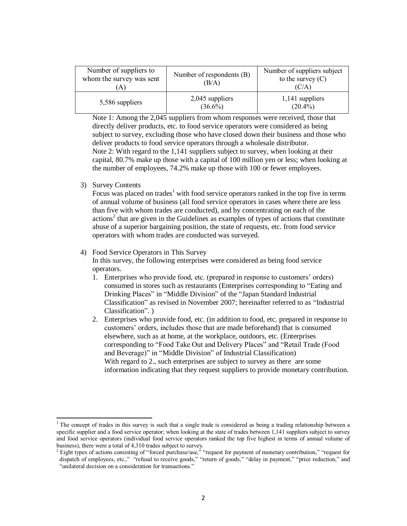| Number of suppliers to<br>whom the survey was sent<br>А | Number of respondents (B)<br>(B/A) | Number of suppliers subject<br>to the survey $(C)$<br>(C/A) |
|---------------------------------------------------------|------------------------------------|-------------------------------------------------------------|
| 5,586 suppliers                                         | $2,045$ suppliers<br>$(36.6\%)$    | 1,141 suppliers<br>$(20.4\%)$                               |

Note 1: Among the 2,045 suppliers from whom responses were received, those that directly deliver products, etc. to food service operators were considered as being subject to survey, excluding those who have closed down their business and those who deliver products to food service operators through a wholesale distributor. Note 2: With regard to the 1,141 suppliers subject to survey, when looking at their capital, 80.7% make up those with a capital of 100 million yen or less; when looking at the number of employees, 74.2% make up those with 100 or fewer employees.

3) Survey Contents

 $\overline{a}$ 

Focus was placed on trades<sup>1</sup> with food service operators ranked in the top five in terms of annual volume of business (all food service operators in cases where there are less than five with whom trades are conducted), and by concentrating on each of the actions<sup>2</sup> that are given in the Guidelines as examples of types of actions that constitute abuse of a superior bargaining position, the state of requests, etc. from food service operators with whom trades are conducted was surveyed.

## 4) Food Service Operators in This Survey

In this survey, the following enterprises were considered as being food service operators.

- 1. Enterprises who provide food, etc. (prepared in response to customers' orders) consumed in stores such as restaurants (Enterprises corresponding to "Eating and Drinking Places" in "Middle Division" of the "Japan Standard Industrial Classification" as revised in November 2007; hereinafter referred to as "Industrial Classification". )
- 2. Enterprises who provide food, etc. (in addition to food, etc. prepared in response to customers' orders, includes those that are made beforehand) that is consumed elsewhere, such as at home, at the workplace, outdoors, etc. (Enterprises corresponding to "Food Take Out and Delivery Places" and "Retail Trade (Food and Beverage)" in "Middle Division" of Industrial Classification) With regard to 2., such enterprises are subject to survey as there are some information indicating that they request suppliers to provide monetary contribution.

<sup>&</sup>lt;sup>1</sup> The concept of trades in this survey is such that a single trade is considered as being a trading relationship between a specific supplier and a food service operator; when looking at the state of trades between 1,141 suppliers subject to survey and food service operators (individual food service operators ranked the top five highest in terms of annual volume of business), there were a total of 4,310 trades subject to survey.

 $2^2$  Eight types of actions consisting of "forced purchase/use," "request for payment of monetary contribution," "request for dispatch of employees, etc.," "refusal to receive goods," "return of goods," "delay in payment," "price reduction," and "unilateral decision on a consideration for transactions."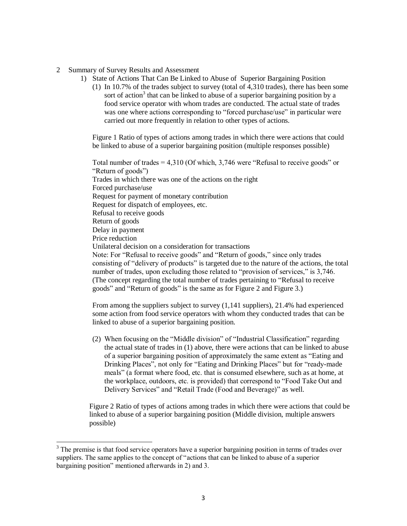## 2 Summary of Survey Results and Assessment

- 1) State of Actions That Can Be Linked to Abuse of Superior Bargaining Position
	- (1) In 10.7% of the trades subject to survey (total of 4,310 trades), there has been some sort of action<sup>3</sup> that can be linked to abuse of a superior bargaining position by a food service operator with whom trades are conducted. The actual state of trades was one where actions corresponding to "forced purchase/use" in particular were carried out more frequently in relation to other types of actions.

Figure 1 Ratio of types of actions among trades in which there were actions that could be linked to abuse of a superior bargaining position (multiple responses possible)

Total number of trades = 4,310 (Of which, 3,746 were "Refusal to receive goods" or "Return of goods") Trades in which there was one of the actions on the right Forced purchase/use Request for payment of monetary contribution Request for dispatch of employees, etc. Refusal to receive goods Return of goods Delay in payment Price reduction Unilateral decision on a consideration for transactions Note: For "Refusal to receive goods" and "Return of goods," since only trades consisting of "delivery of products" is targeted due to the nature of the actions, the total number of trades, upon excluding those related to "provision of services," is 3,746. (The concept regarding the total number of trades pertaining to "Refusal to receive goods" and "Return of goods" is the same as for Figure 2 and Figure 3.)

From among the suppliers subject to survey (1,141 suppliers), 21.4% had experienced some action from food service operators with whom they conducted trades that can be linked to abuse of a superior bargaining position.

(2) When focusing on the "Middle division" of "Industrial Classification" regarding the actual state of trades in (1) above, there were actions that can be linked to abuse of a superior bargaining position of approximately the same extent as "Eating and Drinking Places", not only for "Eating and Drinking Places" but for "ready-made meals" (a format where food, etc. that is consumed elsewhere, such as at home, at the workplace, outdoors, etc. is provided) that correspond to "Food Take Out and Delivery Services" and "Retail Trade (Food and Beverage)" as well.

Figure 2 Ratio of types of actions among trades in which there were actions that could be linked to abuse of a superior bargaining position (Middle division, multiple answers possible)

 $\overline{\phantom{a}}$ 

 $3$  The premise is that food service operators have a superior bargaining position in terms of trades over suppliers. The same applies to the concept of "actions that can be linked to abuse of a superior bargaining position" mentioned afterwards in 2) and 3.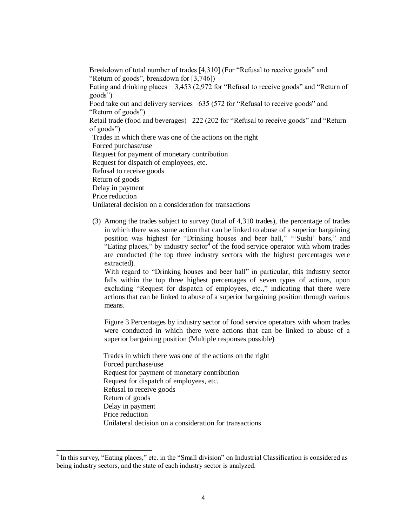Breakdown of total number of trades [4,310] (For "Refusal to receive goods" and "Return of goods", breakdown for [3,746]) Eating and drinking places 3,453 (2,972 for "Refusal to receive goods" and "Return of goods") Food take out and delivery services 635 (572 for "Refusal to receive goods" and "Return of goods") Retail trade (food and beverages) 222 (202 for "Refusal to receive goods" and "Return of goods") Trades in which there was one of the actions on the right Forced purchase/use Request for payment of monetary contribution Request for dispatch of employees, etc. Refusal to receive goods Return of goods Delay in payment Price reduction Unilateral decision on a consideration for transactions

(3) Among the trades subject to survey (total of 4,310 trades), the percentage of trades in which there was some action that can be linked to abuse of a superior bargaining position was highest for "Drinking houses and beer hall," "'Sushi' bars," and "Eating places," by industry sector $4$  of the food service operator with whom trades are conducted (the top three industry sectors with the highest percentages were extracted).

With regard to "Drinking houses and beer hall" in particular, this industry sector falls within the top three highest percentages of seven types of actions, upon excluding "Request for dispatch of employees, etc.," indicating that there were actions that can be linked to abuse of a superior bargaining position through various means.

Figure 3 Percentages by industry sector of food service operators with whom trades were conducted in which there were actions that can be linked to abuse of a superior bargaining position (Multiple responses possible)

Trades in which there was one of the actions on the right Forced purchase/use Request for payment of monetary contribution Request for dispatch of employees, etc. Refusal to receive goods Return of goods Delay in payment Price reduction Unilateral decision on a consideration for transactions

 $\overline{a}$ 

<sup>&</sup>lt;sup>4</sup> In this survey, "Eating places," etc. in the "Small division" on Industrial Classification is considered as being industry sectors, and the state of each industry sector is analyzed.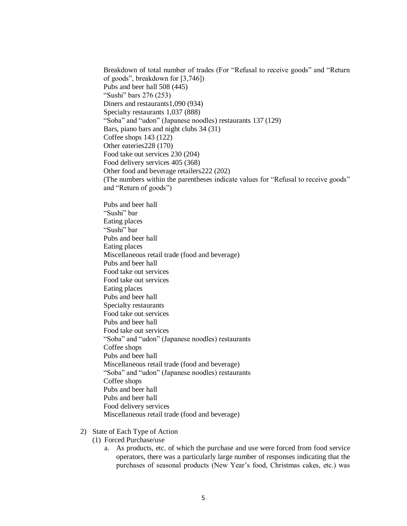Breakdown of total number of trades (For "Refusal to receive goods" and "Return of goods", breakdown for [3,746]) Pubs and beer hall 508 (445) "Sushi" bars 276 (253) Diners and restaurants1,090 (934) Specialty restaurants 1,037 (888) "Soba" and "udon" (Japanese noodles) restaurants 137 (129) Bars, piano bars and night clubs 34 (31) Coffee shops 143 (122) Other eateries228 (170) Food take out services 230 (204) Food delivery services 405 (368) Other food and beverage retailers222 (202) (The numbers within the parentheses indicate values for "Refusal to receive goods" and "Return of goods")

Pubs and beer hall "Sushi" bar Eating places "Sushi" bar Pubs and beer hall Eating places Miscellaneous retail trade (food and beverage) Pubs and beer hall Food take out services Food take out services Eating places Pubs and beer hall Specialty restaurants Food take out services Pubs and beer hall Food take out services "Soba" and "udon" (Japanese noodles) restaurants Coffee shops Pubs and beer hall Miscellaneous retail trade (food and beverage) "Soba" and "udon" (Japanese noodles) restaurants Coffee shops Pubs and beer hall Pubs and beer hall Food delivery services Miscellaneous retail trade (food and beverage)

- 2) State of Each Type of Action
	- (1) Forced Purchase/use
		- a. As products, etc. of which the purchase and use were forced from food service operators, there was a particularly large number of responses indicating that the purchases of seasonal products (New Year's food, Christmas cakes, etc.) was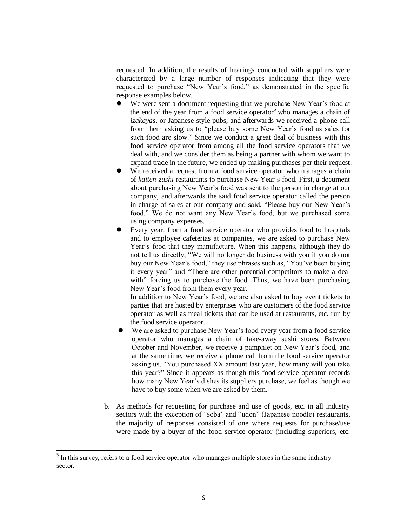requested. In addition, the results of hearings conducted with suppliers were characterized by a large number of responses indicating that they were requested to purchase "New Year's food," as demonstrated in the specific response examples below.

- We were sent a document requesting that we purchase New Year's food at the end of the year from a food service operator<sup>5</sup> who manages a chain of *izakayas*, or Japanese-style pubs, and afterwards we received a phone call from them asking us to "please buy some New Year's food as sales for such food are slow." Since we conduct a great deal of business with this food service operator from among all the food service operators that we deal with, and we consider them as being a partner with whom we want to expand trade in the future, we ended up making purchases per their request.
- We received a request from a food service operator who manages a chain of *kaiten-zushi* restaurants to purchase New Year's food. First, a document about purchasing New Year's food was sent to the person in charge at our company, and afterwards the said food service operator called the person in charge of sales at our company and said, "Please buy our New Year's food." We do not want any New Year's food, but we purchased some using company expenses.
- Every year, from a food service operator who provides food to hospitals and to employee cafeterias at companies, we are asked to purchase New Year's food that they manufacture. When this happens, although they do not tell us directly, "We will no longer do business with you if you do not buy our New Year's food," they use phrases such as, "You've been buying it every year" and "There are other potential competitors to make a deal with" forcing us to purchase the food. Thus, we have been purchasing New Year's food from them every year.

In addition to New Year's food, we are also asked to buy event tickets to parties that are hosted by enterprises who are customers of the food service operator as well as meal tickets that can be used at restaurants, etc. run by the food service operator.

- We are asked to purchase New Year's food every year from a food service operator who manages a chain of take-away sushi stores. Between October and November, we receive a pamphlet on New Year's food, and at the same time, we receive a phone call from the food service operator asking us, "You purchased XX amount last year, how many will you take this year?" Since it appears as though this food service operator records how many New Year's dishes its suppliers purchase, we feel as though we have to buy some when we are asked by them.
- b. As methods for requesting for purchase and use of goods, etc. in all industry sectors with the exception of "soba" and "udon" (Japanese noodle) restaurants, the majority of responses consisted of one where requests for purchase/use were made by a buyer of the food service operator (including superiors, etc.

 $\overline{a}$ 

 $<sup>5</sup>$  In this survey, refers to a food service operator who manages multiple stores in the same industry</sup> sector.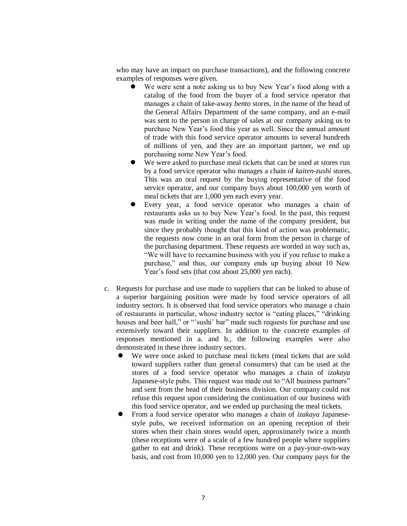who may have an impact on purchase transactions), and the following concrete examples of responses were given.

- We were sent a note asking us to buy New Year's food along with a catalog of the food from the buyer of a food service operator that manages a chain of take-away *bento* stores, in the name of the head of the General Affairs Department of the same company, and an e-mail was sent to the person in charge of sales at our company asking us to purchase New Year's food this year as well. Since the annual amount of trade with this food service operator amounts to several hundreds of millions of yen, and they are an important partner, we end up purchasing some New Year's food.
- We were asked to purchase meal tickets that can be used at stores run by a food service operator who manages a chain of *kaiten-zushi* stores. This was an oral request by the buying representative of the food service operator, and our company buys about 100,000 yen worth of meal tickets that are 1,000 yen each every year.
- Every year, a food service operator who manages a chain of restaurants asks us to buy New Year's food. In the past, this request was made in writing under the name of the company president, but since they probably thought that this kind of action was problematic, the requests now come in an oral form from the person in charge of the purchasing department. These requests are worded in way such as, "We will have to reexamine business with you if you refuse to make a purchase," and thus, our company ends up buying about 10 New Year's food sets (that cost about 25,000 yen each).
- c. Requests for purchase and use made to suppliers that can be linked to abuse of a superior bargaining position were made by food service operators of all industry sectors. It is observed that food service operators who manage a chain of restaurants in particular, whose industry sector is "eating places," "drinking houses and beer hall," or "'sushi' bar" made such requests for purchase and use extensively toward their suppliers. In addition to the concrete examples of responses mentioned in a. and b., the following examples were also demonstrated in these three industry sectors.
	- We were once asked to purchase meal tickets (meal tickets that are sold toward suppliers rather than general consumers) that can be used at the stores of a food service operator who manages a chain of *izakaya*  Japanese-style pubs. This request was made out to "All business partners" and sent from the head of their business division. Our company could not refuse this request upon considering the continuation of our business with this food service operator, and we ended up purchasing the meal tickets.
	- From a food service operator who manages a chain of *izakaya* Japanesestyle pubs, we received information on an opening reception of their stores when their chain stores would open, approximately twice a month (these receptions were of a scale of a few hundred people where suppliers gather to eat and drink). These receptions were on a pay-your-own-way basis, and cost from 10,000 yen to 12,000 yen. Our company pays for the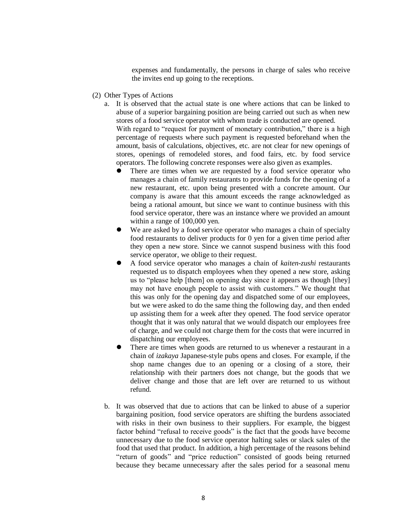expenses and fundamentally, the persons in charge of sales who receive the invites end up going to the receptions.

- (2) Other Types of Actions
	- a. It is observed that the actual state is one where actions that can be linked to abuse of a superior bargaining position are being carried out such as when new stores of a food service operator with whom trade is conducted are opened. With regard to "request for payment of monetary contribution," there is a high percentage of requests where such payment is requested beforehand when the amount, basis of calculations, objectives, etc. are not clear for new openings of stores, openings of remodeled stores, and food fairs, etc. by food service operators. The following concrete responses were also given as examples.
		- There are times when we are requested by a food service operator who manages a chain of family restaurants to provide funds for the opening of a new restaurant, etc. upon being presented with a concrete amount. Our company is aware that this amount exceeds the range acknowledged as being a rational amount, but since we want to continue business with this food service operator, there was an instance where we provided an amount within a range of 100,000 yen.
		- We are asked by a food service operator who manages a chain of specialty food restaurants to deliver products for 0 yen for a given time period after they open a new store. Since we cannot suspend business with this food service operator, we oblige to their request.
		- A food service operator who manages a chain of *kaiten-zushi* restaurants requested us to dispatch employees when they opened a new store, asking us to "please help [them] on opening day since it appears as though [they] may not have enough people to assist with customers." We thought that this was only for the opening day and dispatched some of our employees, but we were asked to do the same thing the following day, and then ended up assisting them for a week after they opened. The food service operator thought that it was only natural that we would dispatch our employees free of charge, and we could not charge them for the costs that were incurred in dispatching our employees.
		- There are times when goods are returned to us whenever a restaurant in a chain of *izakaya* Japanese-style pubs opens and closes. For example, if the shop name changes due to an opening or a closing of a store, their relationship with their partners does not change, but the goods that we deliver change and those that are left over are returned to us without refund.
	- b. It was observed that due to actions that can be linked to abuse of a superior bargaining position, food service operators are shifting the burdens associated with risks in their own business to their suppliers. For example, the biggest factor behind "refusal to receive goods" is the fact that the goods have become unnecessary due to the food service operator halting sales or slack sales of the food that used that product. In addition, a high percentage of the reasons behind "return of goods" and "price reduction" consisted of goods being returned because they became unnecessary after the sales period for a seasonal menu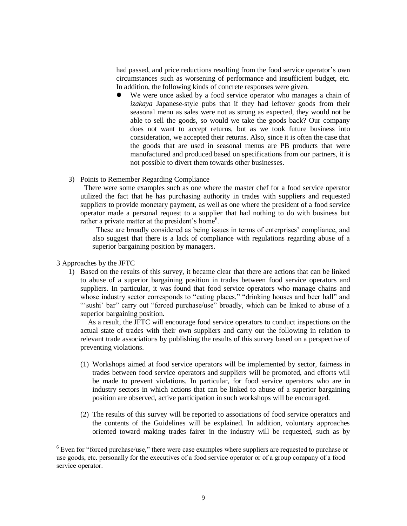had passed, and price reductions resulting from the food service operator's own circumstances such as worsening of performance and insufficient budget, etc. In addition, the following kinds of concrete responses were given.

- We were once asked by a food service operator who manages a chain of *izakaya* Japanese-style pubs that if they had leftover goods from their seasonal menu as sales were not as strong as expected, they would not be able to sell the goods, so would we take the goods back? Our company does not want to accept returns, but as we took future business into consideration, we accepted their returns. Also, since it is often the case that the goods that are used in seasonal menus are PB products that were manufactured and produced based on specifications from our partners, it is not possible to divert them towards other businesses.
- 3) Points to Remember Regarding Compliance

 There were some examples such as one where the master chef for a food service operator utilized the fact that he has purchasing authority in trades with suppliers and requested suppliers to provide monetary payment, as well as one where the president of a food service operator made a personal request to a supplier that had nothing to do with business but rather a private matter at the president's home<sup>6</sup>.

 These are broadly considered as being issues in terms of enterprises' compliance, and also suggest that there is a lack of compliance with regulations regarding abuse of a superior bargaining position by managers.

3 Approaches by the JFTC

 $\overline{\phantom{a}}$ 

1) Based on the results of this survey, it became clear that there are actions that can be linked to abuse of a superior bargaining position in trades between food service operators and suppliers. In particular, it was found that food service operators who manage chains and whose industry sector corresponds to "eating places," "drinking houses and beer hall" and "'sushi' bar" carry out "forced purchase/use" broadly, which can be linked to abuse of a superior bargaining position.

 As a result, the JFTC will encourage food service operators to conduct inspections on the actual state of trades with their own suppliers and carry out the following in relation to relevant trade associations by publishing the results of this survey based on a perspective of preventing violations.

- (1) Workshops aimed at food service operators will be implemented by sector, fairness in trades between food service operators and suppliers will be promoted, and efforts will be made to prevent violations. In particular, for food service operators who are in industry sectors in which actions that can be linked to abuse of a superior bargaining position are observed, active participation in such workshops will be encouraged.
- (2) The results of this survey will be reported to associations of food service operators and the contents of the Guidelines will be explained. In addition, voluntary approaches oriented toward making trades fairer in the industry will be requested, such as by

 $6$  Even for "forced purchase/use," there were case examples where suppliers are requested to purchase or use goods, etc. personally for the executives of a food service operator or of a group company of a food service operator.